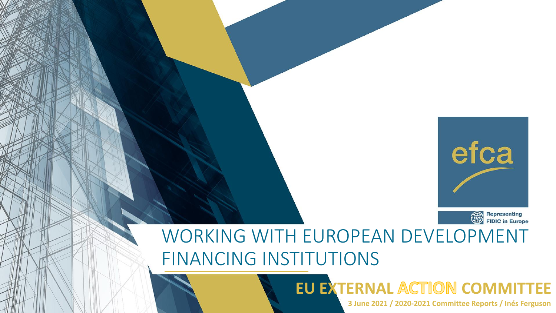

WORKING WITH EUROPEAN DEVELOPMENT FINANCING INSTITUTIONS

**EU EXTERNAL ACTION COMMITTEE** 

**3 June 2021 / 2020-2021 Committee Reports / Inés Ferguson**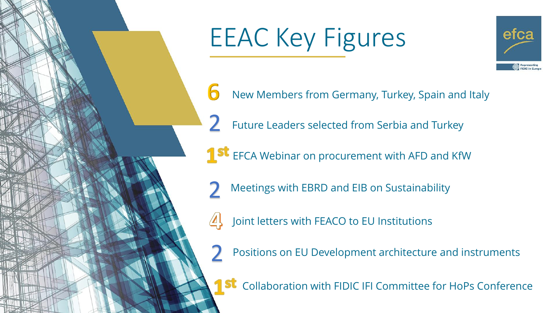

2



6 New Members from Germany, Turkey, Spain and Italy

Future Leaders selected from Serbia and Turkey

**1 St** EFCA Webinar on procurement with AFD and KfW

- Meetings with EBRD and EIB on Sustainability 2
	- Joint letters with FEACO to EU Institutions

Positions on EU Development architecture and instruments 2

**St** Collaboration with FIDIC IFI Committee for HoPs Conference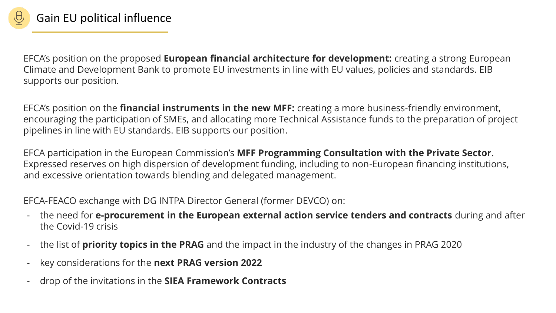

EFCA's position on the proposed **European financial architecture for development:** creating a strong European Climate and Development Bank to promote EU investments in line with EU values, policies and standards. EIB supports our position.

EFCA's position on the **financial instruments in the new MFF:** creating a more business-friendly environment, encouraging the participation of SMEs, and allocating more Technical Assistance funds to the preparation of project pipelines in line with EU standards. EIB supports our position.

EFCA participation in the European Commission's **MFF Programming Consultation with the Private Sector**. Expressed reserves on high dispersion of development funding, including to non-European financing institutions, and excessive orientation towards blending and delegated management.

EFCA-FEACO exchange with DG INTPA Director General (former DEVCO) on:

- the need for **e-procurement in the European external action service tenders and contracts** during and after the Covid-19 crisis
- the list of **priority topics in the PRAG** and the impact in the industry of the changes in PRAG 2020
- key considerations for the **next PRAG version 2022**
- drop of the invitations in the **SIEA Framework Contracts**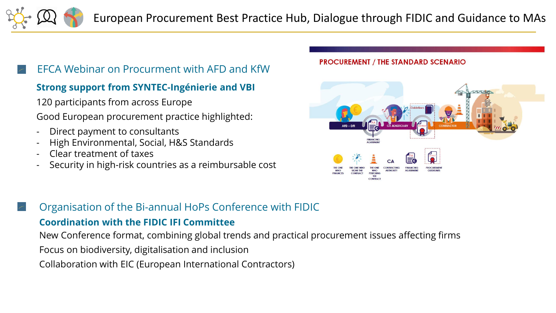European Procurement Best Practice Hub, Dialogue through FIDIC and Guidance to MAs

## EFCA Webinar on Procurment with AFD and KfW

## **Strong support from SYNTEC-Ingénierie and VBI**

120 participants from across Europe

Good European procurement practice highlighted:

- Direct payment to consultants
- High Environmental, Social, H&S Standards
- Clear treatment of taxes
- Security in high-risk countries as a reimbursable cost

## **PROCUREMENT / THE STANDARD SCENARIO**



## Organisation of the Bi-annual HoPs Conference with FIDIC

## **Coordination with the FIDIC IFI Committee**

New Conference format, combining global trends and practical procurement issues affecting firms

- Focus on biodiversity, digitalisation and inclusion
- Collaboration with EIC (European International Contractors)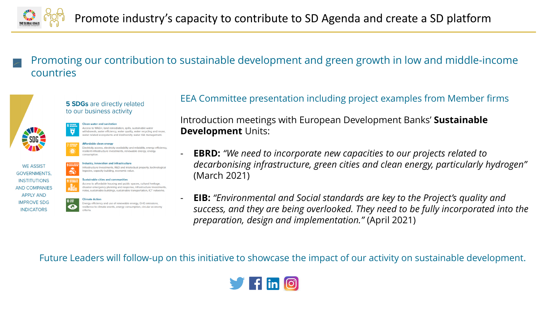

Promoting our contribution to sustainable development and green growth in low and middle-income countries

### **5 SDGs** are directly related to our business activity



Access to WASH, land remediation, spills, sustainable wate

Affordable clean energy lectricity access, electricity availability and reliability, energy efficiency, silient infrastructure investments, renewable energy, energy

withdrawals, water efficiency, water quality, water recycling and reuse, er related ecosystems and biodiversity, water risk management



#### ndustry, innovation and infrastructure Infrastructure Investments, R&D and intelectual property, technologica egacies, capacity building, economic value







## EEA Committee presentation including project examples from Member firms

Introduction meetings with European Development Banks' **Sustainable Development** Units:

- **EBRD:** *"We need to incorporate new capacities to our projects related to decarbonising infrastructure, green cities and clean energy, particularly hydrogen"*  (March 2021)

- **EIB:** *"Environmental and Social standards are key to the Project's quality and success, and they are being overlooked. They need to be fully incorporated into the preparation, design and implementation."* (April 2021)

Future Leaders will follow-up on this initiative to showcase the impact of our activity on sustainable development.